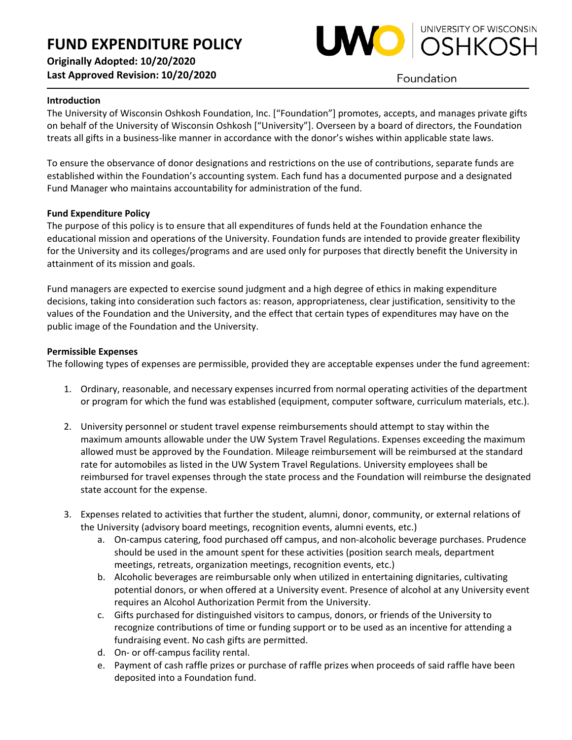

Foundation

## **Introduction**

The University of Wisconsin Oshkosh Foundation, Inc. ["Foundation"] promotes, accepts, and manages private gifts on behalf of the University of Wisconsin Oshkosh ["University"]. Overseen by a board of directors, the Foundation treats all gifts in a business-like manner in accordance with the donor's wishes within applicable state laws.

To ensure the observance of donor designations and restrictions on the use of contributions, separate funds are established within the Foundation's accounting system. Each fund has a documented purpose and a designated Fund Manager who maintains accountability for administration of the fund.

### **Fund Expenditure Policy**

The purpose of this policy is to ensure that all expenditures of funds held at the Foundation enhance the educational mission and operations of the University. Foundation funds are intended to provide greater flexibility for the University and its colleges/programs and are used only for purposes that directly benefit the University in attainment of its mission and goals.

Fund managers are expected to exercise sound judgment and a high degree of ethics in making expenditure decisions, taking into consideration such factors as: reason, appropriateness, clear justification, sensitivity to the values of the Foundation and the University, and the effect that certain types of expenditures may have on the public image of the Foundation and the University.

### **Permissible Expenses**

The following types of expenses are permissible, provided they are acceptable expenses under the fund agreement:

- 1. Ordinary, reasonable, and necessary expenses incurred from normal operating activities of the department or program for which the fund was established (equipment, computer software, curriculum materials, etc.).
- 2. University personnel or student travel expense reimbursements should attempt to stay within the maximum amounts allowable under the UW System Travel Regulations. Expenses exceeding the maximum allowed must be approved by the Foundation. Mileage reimbursement will be reimbursed at the standard rate for automobiles as listed in the UW System Travel Regulations. University employees shall be reimbursed for travel expenses through the state process and the Foundation will reimburse the designated state account for the expense.
- 3. Expenses related to activities that further the student, alumni, donor, community, or external relations of the University (advisory board meetings, recognition events, alumni events, etc.)
	- a. On-campus catering, food purchased off campus, and non-alcoholic beverage purchases. Prudence should be used in the amount spent for these activities (position search meals, department meetings, retreats, organization meetings, recognition events, etc.)
	- b. Alcoholic beverages are reimbursable only when utilized in entertaining dignitaries, cultivating potential donors, or when offered at a University event. Presence of alcohol at any University event requires an Alcohol Authorization Permit from the University.
	- c. Gifts purchased for distinguished visitors to campus, donors, or friends of the University to recognize contributions of time or funding support or to be used as an incentive for attending a fundraising event. No cash gifts are permitted.
	- d. On- or off-campus facility rental.
	- e. Payment of cash raffle prizes or purchase of raffle prizes when proceeds of said raffle have been deposited into a Foundation fund.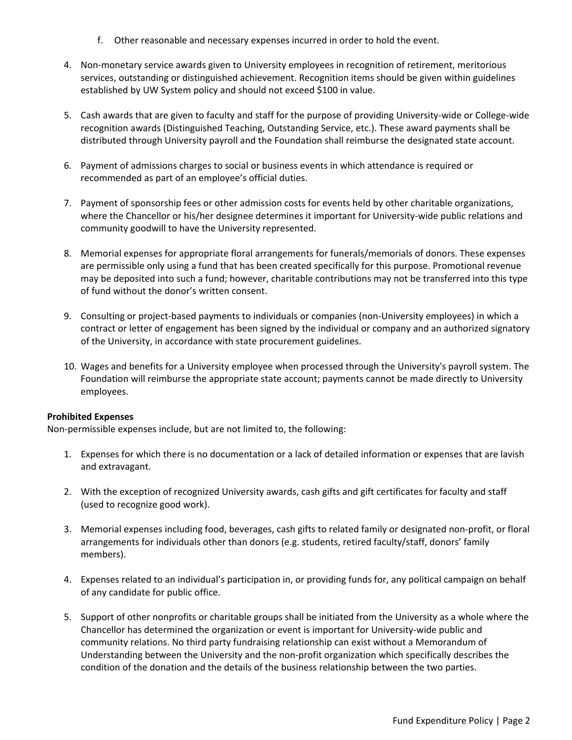- f. Other reasonable and necessary expenses incurred in order to hold the event.
- 4. Non-monetary service awards given to University employees in recognition of retirement, meritorious services, outstanding or distinguished achievement. Recognition items should be given within guidelines established by UW System policy and should not exceed \$100 in value.
- 5. Cash awards that are given to faculty and staff for the purpose of providing University-wide or College-wide recognition awards (Distinguished Teaching, Outstanding Service, etc.). These award payments shall be distributed through University payroll and the Foundation shall reimburse the designated state account.
- 6. Payment of admissions charges to social or business events in which attendance is required or recommended as part of an employee's official duties.
- 7. Payment of sponsorship fees or other admission costs for events held by other charitable organizations, where the Chancellor or his/her designee determines it important for University-wide public relations and community goodwill to have the University represented.
- 8. Memorial expenses for appropriate floral arrangements for funerals/memorials of donors. These expenses are permissible only using a fund that has been created specifically for this purpose. Promotional revenue may be deposited into such a fund; however, charitable contributions may not be transferred into this type of fund without the donor's written consent.
- 9. Consulting or project-based payments to individuals or companies (non-University employees) in which a contract or letter of engagement has been signed by the individual or company and an authorized signatory of the University, in accordance with state procurement guidelines.
- 10. Wages and benefits for a University employee when processed through the University's payroll system. The Foundation will reimburse the appropriate state account; payments cannot be made directly to University employees.

### **Prohibited Expenses**

Non-permissible expenses include, but are not limited to, the following:

- 1. Expenses for which there is no documentation or a lack of detailed information or expenses that are lavish and extravagant.
- 2. With the exception of recognized University awards, cash gifts and gift certificates for faculty and staff (used to recognize good work).
- 3. Memorial expenses including food, beverages, cash gifts to related family or designated non-profit, or floral arrangements for individuals other than donors (e.g. students, retired faculty/staff, donors' family members).
- 4. Expenses related to an individual's participation in, or providing funds for, any political campaign on behalf of any candidate for public office.
- 5. Support of other nonprofits or charitable groups shall be initiated from the University as a whole where the Chancellor has determined the organization or event is important for University-wide public and community relations. No third party fundraising relationship can exist without a Memorandum of Understanding between the University and the non-profit organization which specifically describes the condition of the donation and the details of the business relationship between the two parties.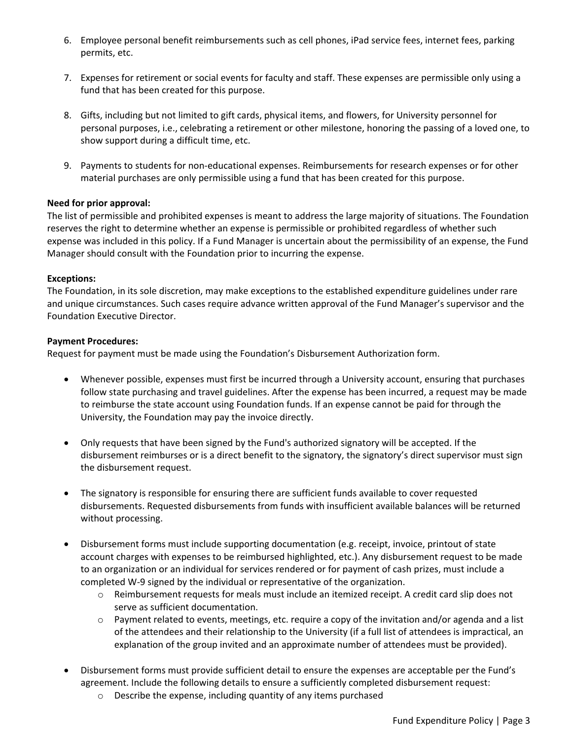- 6. Employee personal benefit reimbursements such as cell phones, iPad service fees, internet fees, parking permits, etc.
- 7. Expenses for retirement or social events for faculty and staff. These expenses are permissible only using a fund that has been created for this purpose.
- 8. Gifts, including but not limited to gift cards, physical items, and flowers, for University personnel for personal purposes, i.e., celebrating a retirement or other milestone, honoring the passing of a loved one, to show support during a difficult time, etc.
- 9. Payments to students for non-educational expenses. Reimbursements for research expenses or for other material purchases are only permissible using a fund that has been created for this purpose.

# **Need for prior approval:**

The list of permissible and prohibited expenses is meant to address the large majority of situations. The Foundation reserves the right to determine whether an expense is permissible or prohibited regardless of whether such expense was included in this policy. If a Fund Manager is uncertain about the permissibility of an expense, the Fund Manager should consult with the Foundation prior to incurring the expense.

### **Exceptions:**

The Foundation, in its sole discretion, may make exceptions to the established expenditure guidelines under rare and unique circumstances. Such cases require advance written approval of the Fund Manager's supervisor and the Foundation Executive Director.

#### **Payment Procedures:**

Request for payment must be made using the Foundation's Disbursement Authorization form.

- Whenever possible, expenses must first be incurred through a University account, ensuring that purchases follow state purchasing and travel guidelines. After the expense has been incurred, a request may be made to reimburse the state account using Foundation funds. If an expense cannot be paid for through the University, the Foundation may pay the invoice directly.
- Only requests that have been signed by the Fund's authorized signatory will be accepted. If the disbursement reimburses or is a direct benefit to the signatory, the signatory's direct supervisor must sign the disbursement request.
- The signatory is responsible for ensuring there are sufficient funds available to cover requested disbursements. Requested disbursements from funds with insufficient available balances will be returned without processing.
- Disbursement forms must include supporting documentation (e.g. receipt, invoice, printout of state account charges with expenses to be reimbursed highlighted, etc.). Any disbursement request to be made to an organization or an individual for services rendered or for payment of cash prizes, must include a completed W-9 signed by the individual or representative of the organization.
	- $\circ$  Reimbursement requests for meals must include an itemized receipt. A credit card slip does not serve as sufficient documentation.
	- $\circ$  Payment related to events, meetings, etc. require a copy of the invitation and/or agenda and a list of the attendees and their relationship to the University (if a full list of attendees is impractical, an explanation of the group invited and an approximate number of attendees must be provided).
- Disbursement forms must provide sufficient detail to ensure the expenses are acceptable per the Fund's agreement. Include the following details to ensure a sufficiently completed disbursement request:
	- o Describe the expense, including quantity of any items purchased